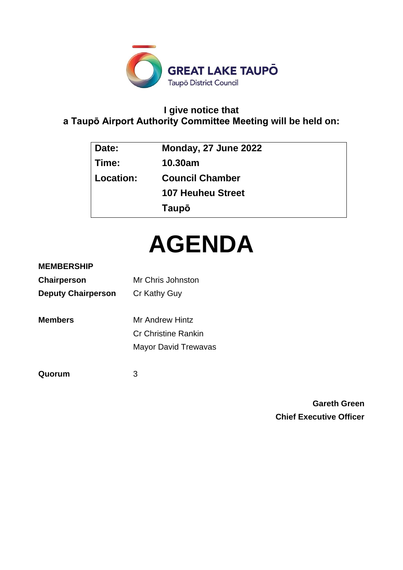

# **I give notice that a Taupō Airport Authority Committee Meeting will be held on:**

| Date:       | Monday, 27 June 2022     |
|-------------|--------------------------|
| Time:       | 10.30am                  |
| ∣ Location: | <b>Council Chamber</b>   |
|             | <b>107 Heuheu Street</b> |
|             | Taupō                    |

# **AGENDA**

### **MEMBERSHIP**

| Chairperson               | Mr Chris Johnston          |  |
|---------------------------|----------------------------|--|
| <b>Deputy Chairperson</b> | Cr Kathy Guy               |  |
| <b>Members</b>            | <b>Mr Andrew Hintz</b>     |  |
|                           | <b>Cr Christine Rankin</b> |  |

Mayor David Trewavas

**Quorum** 3

**Gareth Green Chief Executive Officer**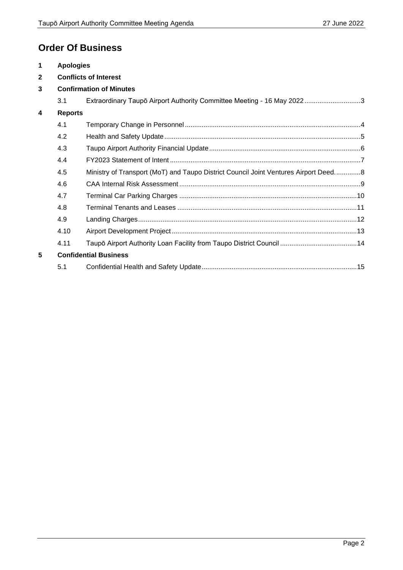# **Order Of Business**

| $\blacktriangleleft$    | <b>Apologies</b>             |                                                                                     |  |  |
|-------------------------|------------------------------|-------------------------------------------------------------------------------------|--|--|
| $\overline{2}$          | <b>Conflicts of Interest</b> |                                                                                     |  |  |
| 3                       |                              | <b>Confirmation of Minutes</b>                                                      |  |  |
|                         | 3.1                          | Extraordinary Taupō Airport Authority Committee Meeting - 16 May 20223              |  |  |
| $\overline{\mathbf{4}}$ | <b>Reports</b>               |                                                                                     |  |  |
|                         | 4.1                          |                                                                                     |  |  |
|                         | 4.2                          |                                                                                     |  |  |
|                         | 4.3                          |                                                                                     |  |  |
|                         | 4.4                          |                                                                                     |  |  |
|                         | 4.5                          | Ministry of Transport (MoT) and Taupo District Council Joint Ventures Airport Deed8 |  |  |
|                         | 4.6                          |                                                                                     |  |  |
|                         | 4.7                          |                                                                                     |  |  |
|                         | 4.8                          |                                                                                     |  |  |
|                         | 4.9                          |                                                                                     |  |  |
|                         | 4.10                         |                                                                                     |  |  |
|                         | 4.11                         |                                                                                     |  |  |
| 5                       |                              | <b>Confidential Business</b>                                                        |  |  |
|                         | 5.1                          |                                                                                     |  |  |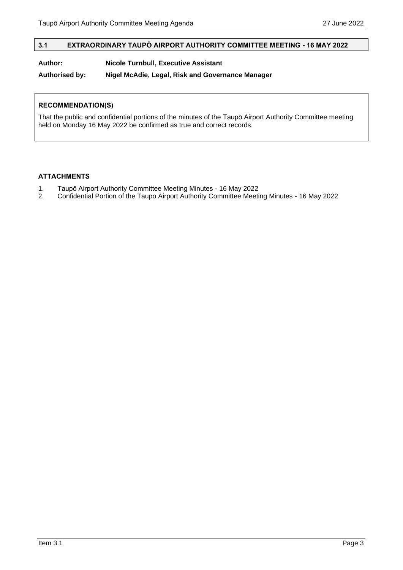#### <span id="page-2-0"></span>**3.1 EXTRAORDINARY TAUPŌ AIRPORT AUTHORITY COMMITTEE MEETING - 16 MAY 2022**

#### **Author: Nicole Turnbull, Executive Assistant**

#### **Authorised by: Nigel McAdie, Legal, Risk and Governance Manager**

#### **RECOMMENDATION(S)**

That the public and confidential portions of the minutes of the Taupō Airport Authority Committee meeting held on Monday 16 May 2022 be confirmed as true and correct records.

#### **ATTACHMENTS**

- 1. Taupō Airport Authority Committee Meeting Minutes 16 May 2022<br>2. Confidential Portion of the Taupo Airport Authority Committee Meeti
- 2. Confidential Portion of the Taupo Airport Authority Committee Meeting Minutes 16 May 2022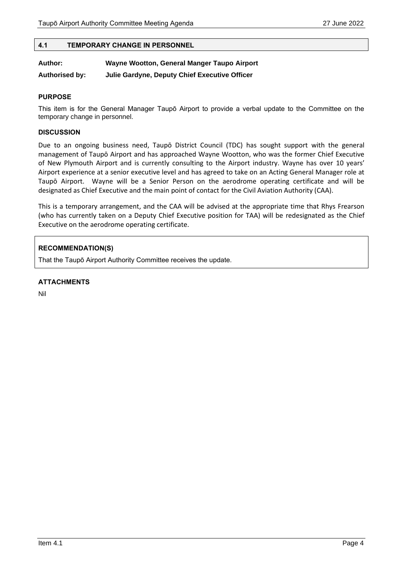#### <span id="page-3-0"></span>**4.1 TEMPORARY CHANGE IN PERSONNEL**

| Author:               | Wayne Wootton, General Manger Taupo Airport   |  |  |
|-----------------------|-----------------------------------------------|--|--|
| <b>Authorised by:</b> | Julie Gardyne, Deputy Chief Executive Officer |  |  |

#### **PURPOSE**

This item is for the General Manager Taupō Airport to provide a verbal update to the Committee on the temporary change in personnel.

#### **DISCUSSION**

Due to an ongoing business need, Taupō District Council (TDC) has sought support with the general management of Taupō Airport and has approached Wayne Wootton, who was the former Chief Executive of New Plymouth Airport and is currently consulting to the Airport industry. Wayne has over 10 years' Airport experience at a senior executive level and has agreed to take on an Acting General Manager role at Taupō Airport. Wayne will be a Senior Person on the aerodrome operating certificate and will be designated as Chief Executive and the main point of contact for the Civil Aviation Authority (CAA).

This is a temporary arrangement, and the CAA will be advised at the appropriate time that Rhys Frearson (who has currently taken on a Deputy Chief Executive position for TAA) will be redesignated as the Chief Executive on the aerodrome operating certificate.

#### **RECOMMENDATION(S)**

That the Taupō Airport Authority Committee receives the update.

#### **ATTACHMENTS**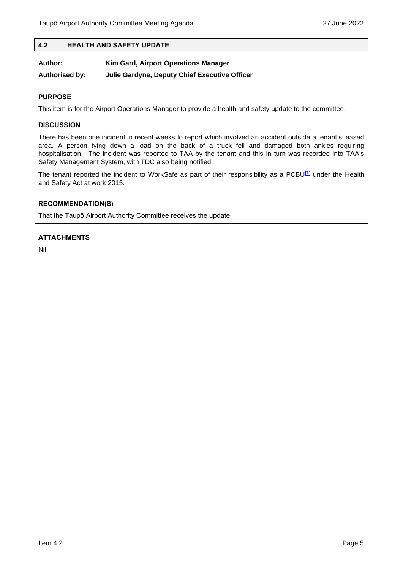#### <span id="page-4-0"></span>**4.2 HEALTH AND SAFETY UPDATE**

| Author:               | Kim Gard, Airport Operations Manager          |  |
|-----------------------|-----------------------------------------------|--|
| <b>Authorised by:</b> | Julie Gardyne, Deputy Chief Executive Officer |  |

#### **PURPOSE**

This item is for the Airport Operations Manager to provide a health and safety update to the committee.

#### **DISCUSSION**

There has been one incident in recent weeks to report which involved an accident outside a tenant's leased area. A person tying down a load on the back of a truck fell and damaged both ankles requiring hospitalisation. The incident was reported to TAA by the tenant and this in turn was recorded into TAA's Safety Management System, with TDC also being notified.

The tenant reported the incident to WorkSafe as part of their responsibility as a PCBU**[\[1\]](https://word-edit.officeapps.live.com/we/wordeditorframe.aspx?WOPISrc=https://wopi.dropbox.com/wopi/files/lNLEqkBa_qAAAAAAAAAADg&dl=0&rlkey=0gdxurrfvuvk56ypwk7fs7o3u&ui=en-us#_edn1)** under the Health and Safety Act at work 2015.

#### **RECOMMENDATION(S)**

That the Taupō Airport Authority Committee receives the update.

#### **ATTACHMENTS**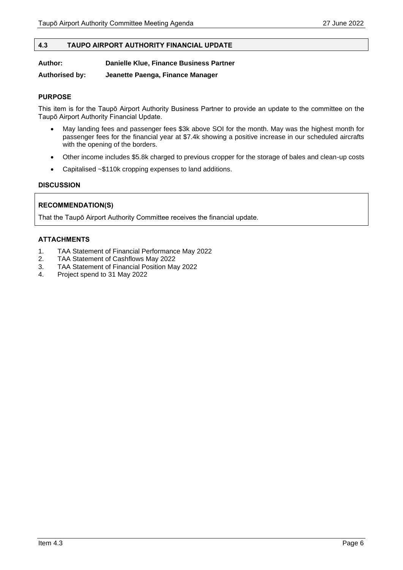#### <span id="page-5-0"></span>**4.3 TAUPO AIRPORT AUTHORITY FINANCIAL UPDATE**

#### **Author: Danielle Klue, Finance Business Partner**

**Authorised by: Jeanette Paenga, Finance Manager**

#### **PURPOSE**

This item is for the Taupō Airport Authority Business Partner to provide an update to the committee on the Taupō Airport Authority Financial Update.

- May landing fees and passenger fees \$3k above SOI for the month. May was the highest month for passenger fees for the financial year at \$7.4k showing a positive increase in our scheduled aircrafts with the opening of the borders.
- Other income includes \$5.8k charged to previous cropper for the storage of bales and clean-up costs
- Capitalised ~\$110k cropping expenses to land additions.

#### **DISCUSSION**

#### **RECOMMENDATION(S)**

That the Taupō Airport Authority Committee receives the financial update.

#### **ATTACHMENTS**

- 1. TAA Statement of Financial Performance May 2022
- 2. TAA Statement of Cashflows May 2022
- 3. TAA Statement of Financial Position May 2022
- 4. Project spend to 31 May 2022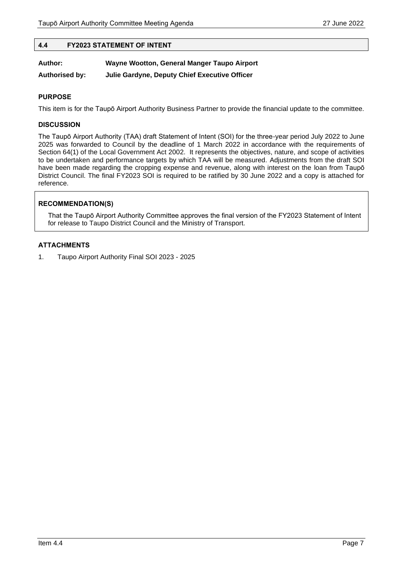#### <span id="page-6-0"></span>**4.4 FY2023 STATEMENT OF INTENT**

| Author:               | Wayne Wootton, General Manger Taupo Airport   |
|-----------------------|-----------------------------------------------|
| <b>Authorised by:</b> | Julie Gardyne, Deputy Chief Executive Officer |

#### **PURPOSE**

This item is for the Taupō Airport Authority Business Partner to provide the financial update to the committee.

#### **DISCUSSION**

The Taupō Airport Authority (TAA) draft Statement of Intent (SOI) for the three-year period July 2022 to June 2025 was forwarded to Council by the deadline of 1 March 2022 in accordance with the requirements of Section 64(1) of the Local Government Act 2002. It represents the objectives, nature, and scope of activities to be undertaken and performance targets by which TAA will be measured. Adjustments from the draft SOI have been made regarding the cropping expense and revenue, along with interest on the loan from Taupō District Council. The final FY2023 SOI is required to be ratified by 30 June 2022 and a copy is attached for reference.

#### **RECOMMENDATION(S)**

That the Taupō Airport Authority Committee approves the final version of the FY2023 Statement of Intent for release to Taupo District Council and the Ministry of Transport.

#### **ATTACHMENTS**

1. Taupo Airport Authority Final SOI 2023 - 2025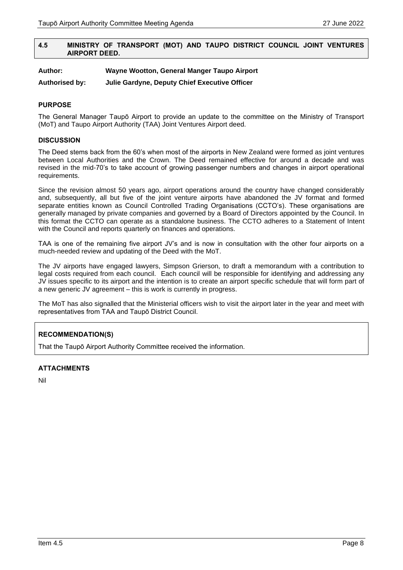#### <span id="page-7-0"></span>**4.5 MINISTRY OF TRANSPORT (MOT) AND TAUPO DISTRICT COUNCIL JOINT VENTURES AIRPORT DEED.**

#### **Author: Wayne Wootton, General Manger Taupo Airport**

**Authorised by: Julie Gardyne, Deputy Chief Executive Officer**

#### **PURPOSE**

The General Manager Taupō Airport to provide an update to the committee on the Ministry of Transport (MoT) and Taupo Airport Authority (TAA) Joint Ventures Airport deed.

#### **DISCUSSION**

The Deed stems back from the 60's when most of the airports in New Zealand were formed as joint ventures between Local Authorities and the Crown. The Deed remained effective for around a decade and was revised in the mid-70's to take account of growing passenger numbers and changes in airport operational requirements.

Since the revision almost 50 years ago, airport operations around the country have changed considerably and, subsequently, all but five of the joint venture airports have abandoned the JV format and formed separate entities known as Council Controlled Trading Organisations (CCTO's). These organisations are generally managed by private companies and governed by a Board of Directors appointed by the Council. In this format the CCTO can operate as a standalone business. The CCTO adheres to a Statement of Intent with the Council and reports quarterly on finances and operations.

TAA is one of the remaining five airport JV's and is now in consultation with the other four airports on a much-needed review and updating of the Deed with the MoT.

The JV airports have engaged lawyers, Simpson Grierson, to draft a memorandum with a contribution to legal costs required from each council. Each council will be responsible for identifying and addressing any JV issues specific to its airport and the intention is to create an airport specific schedule that will form part of a new generic JV agreement – this is work is currently in progress.

The MoT has also signalled that the Ministerial officers wish to visit the airport later in the year and meet with representatives from TAA and Taupō District Council.

#### **RECOMMENDATION(S)**

That the Taupō Airport Authority Committee received the information.

#### **ATTACHMENTS**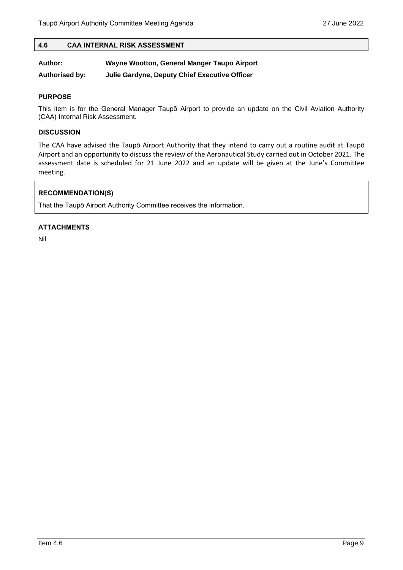#### <span id="page-8-0"></span>**4.6 CAA INTERNAL RISK ASSESSMENT**

## **Author: Wayne Wootton, General Manger Taupo Airport**

**Authorised by: Julie Gardyne, Deputy Chief Executive Officer**

#### **PURPOSE**

This item is for the General Manager Taupō Airport to provide an update on the Civil Aviation Authority (CAA) Internal Risk Assessment.

#### **DISCUSSION**

The CAA have advised the Taupō Airport Authority that they intend to carry out a routine audit at Taupō Airport and an opportunity to discuss the review of the Aeronautical Study carried out in October 2021. The assessment date is scheduled for 21 June 2022 and an update will be given at the June's Committee meeting.

#### **RECOMMENDATION(S)**

That the Taupō Airport Authority Committee receives the information.

#### **ATTACHMENTS**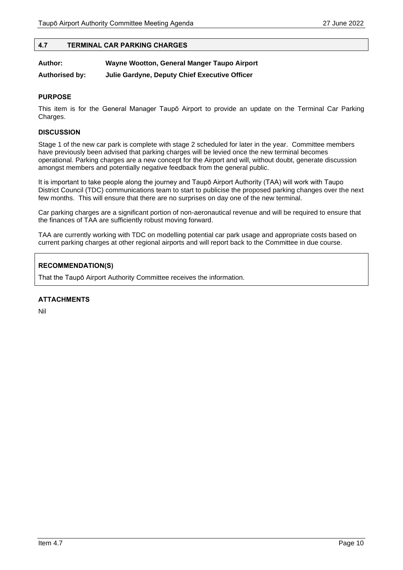#### <span id="page-9-0"></span>**4.7 TERMINAL CAR PARKING CHARGES**

| Author:               | Wayne Wootton, General Manger Taupo Airport   |  |
|-----------------------|-----------------------------------------------|--|
| <b>Authorised by:</b> | Julie Gardyne, Deputy Chief Executive Officer |  |

#### **PURPOSE**

This item is for the General Manager Taupō Airport to provide an update on the Terminal Car Parking Charges.

#### **DISCUSSION**

Stage 1 of the new car park is complete with stage 2 scheduled for later in the year. Committee members have previously been advised that parking charges will be levied once the new terminal becomes operational. Parking charges are a new concept for the Airport and will, without doubt, generate discussion amongst members and potentially negative feedback from the general public.

It is important to take people along the journey and Taupō Airport Authority (TAA) will work with Taupo District Council (TDC) communications team to start to publicise the proposed parking changes over the next few months. This will ensure that there are no surprises on day one of the new terminal.

Car parking charges are a significant portion of non-aeronautical revenue and will be required to ensure that the finances of TAA are sufficiently robust moving forward.

TAA are currently working with TDC on modelling potential car park usage and appropriate costs based on current parking charges at other regional airports and will report back to the Committee in due course.

#### **RECOMMENDATION(S)**

That the Taupō Airport Authority Committee receives the information.

#### **ATTACHMENTS**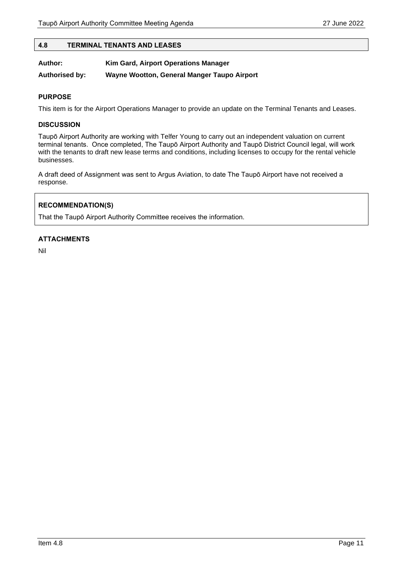#### <span id="page-10-0"></span>**4.8 TERMINAL TENANTS AND LEASES**

| Author: | Kim Gard, Airport Operations Manager |  |  |  |
|---------|--------------------------------------|--|--|--|
|         |                                      |  |  |  |

**Authorised by: Wayne Wootton, General Manger Taupo Airport**

#### **PURPOSE**

This item is for the Airport Operations Manager to provide an update on the Terminal Tenants and Leases.

#### **DISCUSSION**

Taupō Airport Authority are working with Telfer Young to carry out an independent valuation on current terminal tenants. Once completed, The Taupō Airport Authority and Taupō District Council legal, will work with the tenants to draft new lease terms and conditions, including licenses to occupy for the rental vehicle businesses.

A draft deed of Assignment was sent to Argus Aviation, to date The Taupō Airport have not received a response.

#### **RECOMMENDATION(S)**

That the Taupō Airport Authority Committee receives the information.

#### **ATTACHMENTS**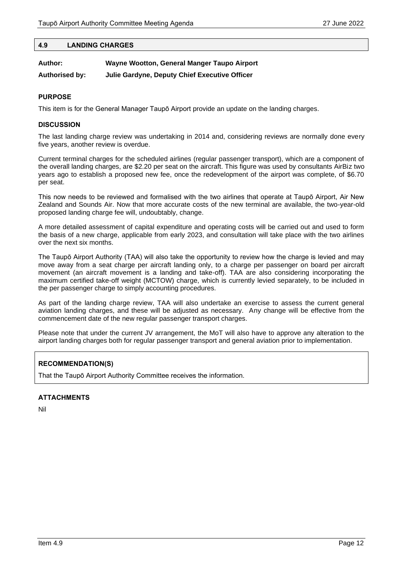#### <span id="page-11-0"></span>**4.9 LANDING CHARGES**

| Author:               | Wayne Wootton, General Manger Taupo Airport   |  |
|-----------------------|-----------------------------------------------|--|
| <b>Authorised by:</b> | Julie Gardyne, Deputy Chief Executive Officer |  |

#### **PURPOSE**

This item is for the General Manager Taupō Airport provide an update on the landing charges.

#### **DISCUSSION**

The last landing charge review was undertaking in 2014 and, considering reviews are normally done every five years, another review is overdue.

Current terminal charges for the scheduled airlines (regular passenger transport), which are a component of the overall landing charges, are \$2.20 per seat on the aircraft. This figure was used by consultants AirBiz two years ago to establish a proposed new fee, once the redevelopment of the airport was complete, of \$6.70 per seat.

This now needs to be reviewed and formalised with the two airlines that operate at Taupō Airport, Air New Zealand and Sounds Air. Now that more accurate costs of the new terminal are available, the two-year-old proposed landing charge fee will, undoubtably, change.

A more detailed assessment of capital expenditure and operating costs will be carried out and used to form the basis of a new charge, applicable from early 2023, and consultation will take place with the two airlines over the next six months.

The Taupō Airport Authority (TAA) will also take the opportunity to review how the charge is levied and may move away from a seat charge per aircraft landing only, to a charge per passenger on board per aircraft movement (an aircraft movement is a landing and take-off). TAA are also considering incorporating the maximum certified take-off weight (MCTOW) charge, which is currently levied separately, to be included in the per passenger charge to simply accounting procedures.

As part of the landing charge review, TAA will also undertake an exercise to assess the current general aviation landing charges, and these will be adjusted as necessary. Any change will be effective from the commencement date of the new regular passenger transport charges.

Please note that under the current JV arrangement, the MoT will also have to approve any alteration to the airport landing charges both for regular passenger transport and general aviation prior to implementation.

#### **RECOMMENDATION(S)**

That the Taupō Airport Authority Committee receives the information.

#### **ATTACHMENTS**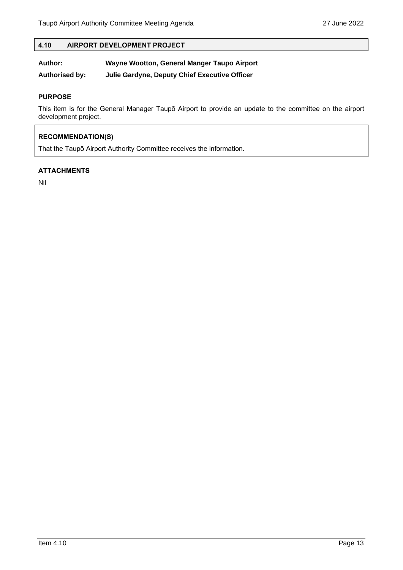#### <span id="page-12-0"></span>**4.10 AIRPORT DEVELOPMENT PROJECT**

#### **Author: Wayne Wootton, General Manger Taupo Airport**

**Authorised by: Julie Gardyne, Deputy Chief Executive Officer**

#### **PURPOSE**

This item is for the General Manager Taupō Airport to provide an update to the committee on the airport development project.

#### **RECOMMENDATION(S)**

That the Taupō Airport Authority Committee receives the information.

#### **ATTACHMENTS**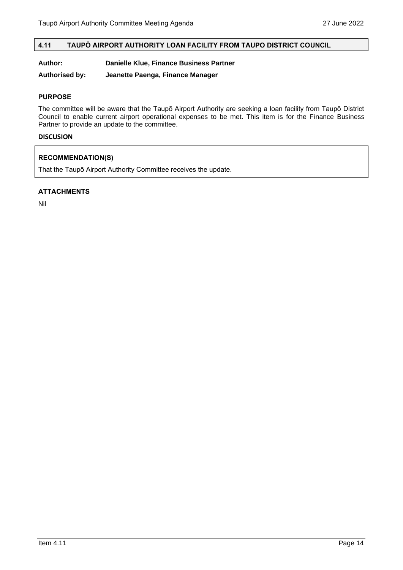#### <span id="page-13-0"></span>**4.11 TAUPŌ AIRPORT AUTHORITY LOAN FACILITY FROM TAUPO DISTRICT COUNCIL**

#### **Author: Danielle Klue, Finance Business Partner**

**Authorised by: Jeanette Paenga, Finance Manager**

#### **PURPOSE**

The committee will be aware that the Taupō Airport Authority are seeking a loan facility from Taupō District Council to enable current airport operational expenses to be met. This item is for the Finance Business Partner to provide an update to the committee.

#### **DISCUSION**

#### **RECOMMENDATION(S)**

That the Taupō Airport Authority Committee receives the update.

#### **ATTACHMENTS**